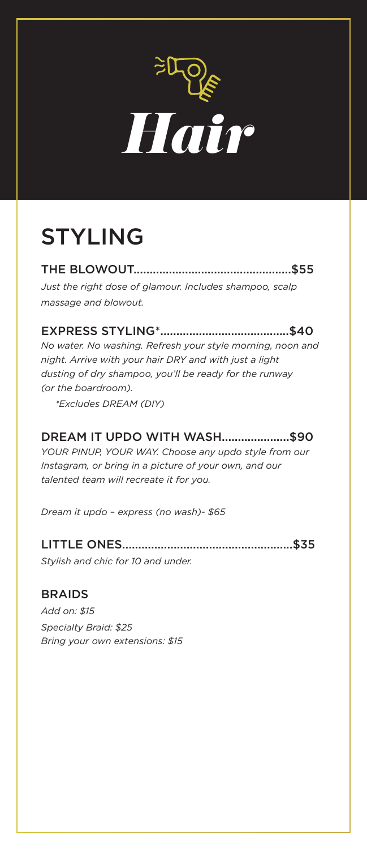

## STYLING

THE BLOWOUT.................................................\$55 *Just the right dose of glamour. Includes shampoo, scalp massage and blowout.*

EXPRESS STYLING\*........................................\$40 *No water. No washing. Refresh your style morning, noon and night. Arrive with your hair DRY and with just a light dusting of dry shampoo, you'll be ready for the runway (or the boardroom).*

 *\*Excludes DREAM (DIY)*

#### DREAM IT UPDO WITH WASH.....................\$90

*YOUR PINUP, YOUR WAY. Choose any updo style from our Instagram, or bring in a picture of your own, and our talented team will recreate it for you.*

*Dream it updo – express (no wash)- \$65*

#### LITTLE ONES.....................................................\$35

*Stylish and chic for 10 and under.*

#### BRAIDS

*Add on: \$15 Specialty Braid: \$25 Bring your own extensions: \$15*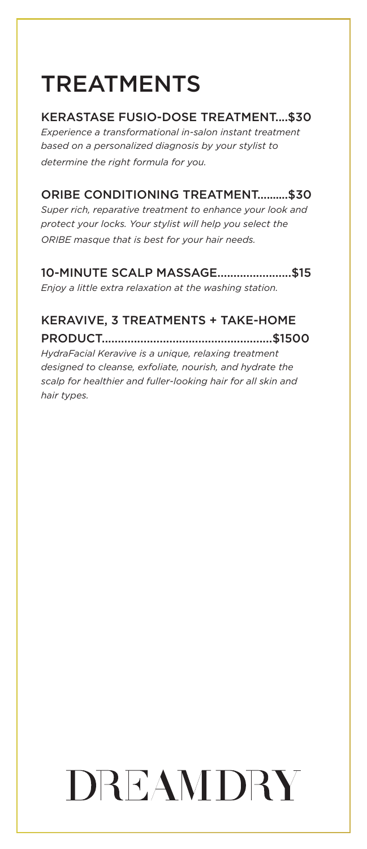## TREATMENTS

#### KERASTASE FUSIO-DOSE TREATMENT....\$30

*Experience a transformational in-salon instant treatment based on a personalized diagnosis by your stylist to determine the right formula for you.*

#### ORIBE CONDITIONING TREATMENT..........\$30

*Super rich, reparative treatment to enhance your look and protect your locks. Your stylist will help you select the ORIBE masque that is best for your hair needs.*

#### 10-MINUTE SCALP MASSAGE.......................\$15

*Enjoy a little extra relaxation at the washing station.*

#### KERAVIVE, 3 TREATMENTS + TAKE-HOME

PRODUCT.....................................................\$1500

*HydraFacial Keravive is a unique, relaxing treatment designed to cleanse, exfoliate, nourish, and hydrate the scalp for healthier and fuller-looking hair for all skin and hair types.*

# DREAMDRY